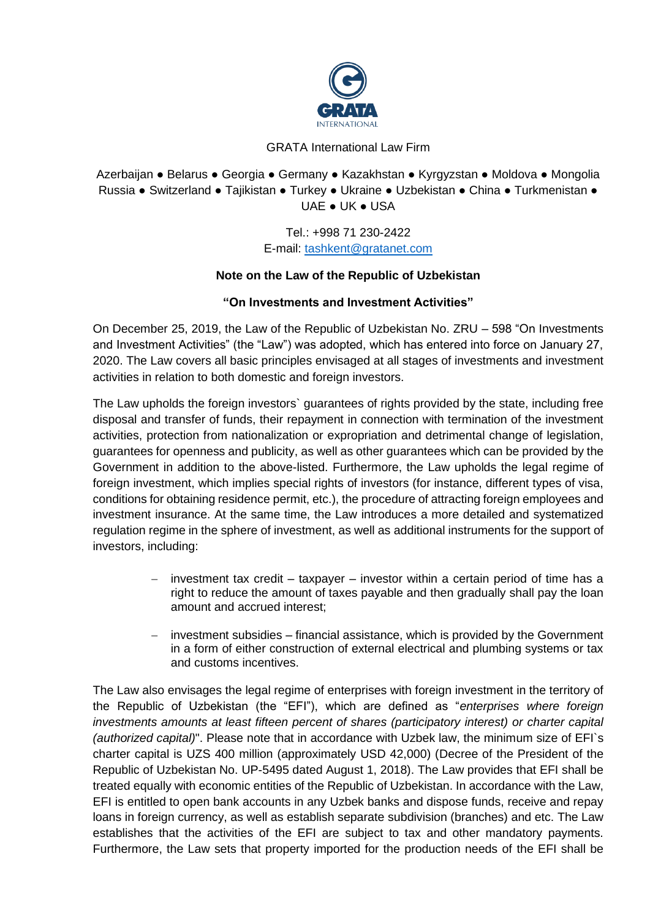

### GRATA International Law Firm

Azerbaijan ● Belarus ● Georgia ● Germany ● Kazakhstan ● Kyrgyzstan ● Moldova ● Mongolia Russia ● Switzerland ● Tajikistan ● Turkey ● Ukraine ● Uzbekistan ● China ● Turkmenistan ● UAE ● UK ● USA

> Tel.: +998 71 230-2422 E-mail: [tashkent@gratanet.com](mailto:tashkent@gratanet.com)

# **Note on the Law of the Republic of Uzbekistan**

# **"On Investments and Investment Activities"**

On December 25, 2019, the Law of the Republic of Uzbekistan No. ZRU – 598 "On Investments and Investment Activities" (the "Law") was adopted, which has entered into force on January 27, 2020. The Law covers all basic principles envisaged at all stages of investments and investment activities in relation to both domestic and foreign investors.

The Law upholds the foreign investors` guarantees of rights provided by the state, including free disposal and transfer of funds, their repayment in connection with termination of the investment activities, protection from nationalization or expropriation and detrimental change of legislation, guarantees for openness and publicity, as well as other guarantees which can be provided by the Government in addition to the above-listed. Furthermore, the Law upholds the legal regime of foreign investment, which implies special rights of investors (for instance, different types of visa, conditions for obtaining residence permit, etc.), the procedure of attracting foreign employees and investment insurance. At the same time, the Law introduces a more detailed and systematized regulation regime in the sphere of investment, as well as additional instruments for the support of investors, including:

- investment tax credit taxpayer investor within a certain period of time has a right to reduce the amount of taxes payable and then gradually shall pay the loan amount and accrued interest;
- − investment subsidies financial assistance, which is provided by the Government in a form of either construction of external electrical and plumbing systems or tax and customs incentives.

The Law also envisages the legal regime of enterprises with foreign investment in the territory of the Republic of Uzbekistan (the "EFI"), which are defined as "*enterprises where foreign investments amounts at least fifteen percent of shares (participatory interest) or charter capital (authorized capital)*". Please note that in accordance with Uzbek law, the minimum size of EFI`s charter capital is UZS 400 million (approximately USD 42,000) (Decree of the President of the Republic of Uzbekistan No. UP-5495 dated August 1, 2018). The Law provides that EFI shall be treated equally with economic entities of the Republic of Uzbekistan. In accordance with the Law, EFI is entitled to open bank accounts in any Uzbek banks and dispose funds, receive and repay loans in foreign currency, as well as establish separate subdivision (branches) and etc. The Law establishes that the activities of the EFI are subject to tax and other mandatory payments. Furthermore, the Law sets that property imported for the production needs of the EFI shall be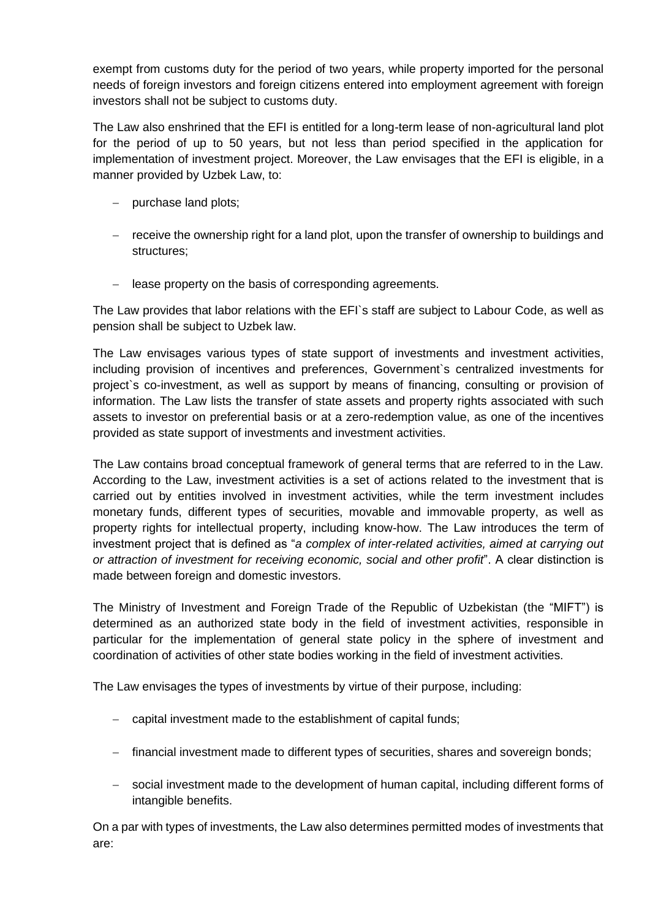exempt from customs duty for the period of two years, while property imported for the personal needs of foreign investors and foreign citizens entered into employment agreement with foreign investors shall not be subject to customs duty.

The Law also enshrined that the EFI is entitled for a long-term lease of non-agricultural land plot for the period of up to 50 years, but not less than period specified in the application for implementation of investment project. Moreover, the Law envisages that the EFI is eligible, in a manner provided by Uzbek Law, to:

- − purchase land plots;
- − receive the ownership right for a land plot, upon the transfer of ownership to buildings and structures;
- − lease property on the basis of corresponding agreements.

The Law provides that labor relations with the EFI`s staff are subject to Labour Code, as well as pension shall be subject to Uzbek law.

The Law envisages various types of state support of investments and investment activities, including provision of incentives and preferences, Government`s centralized investments for project`s co-investment, as well as support by means of financing, consulting or provision of information. The Law lists the transfer of state assets and property rights associated with such assets to investor on preferential basis or at a zero-redemption value, as one of the incentives provided as state support of investments and investment activities.

The Law contains broad conceptual framework of general terms that are referred to in the Law. According to the Law, investment activities is a set of actions related to the investment that is carried out by entities involved in investment activities, while the term investment includes monetary funds, different types of securities, movable and immovable property, as well as property rights for intellectual property, including know-how. The Law introduces the term of investment project that is defined as "*a complex of inter-related activities, aimed at carrying out or attraction of investment for receiving economic, social and other profit*". A clear distinction is made between foreign and domestic investors.

The Ministry of Investment and Foreign Trade of the Republic of Uzbekistan (the "MIFT") is determined as an authorized state body in the field of investment activities, responsible in particular for the implementation of general state policy in the sphere of investment and coordination of activities of other state bodies working in the field of investment activities.

The Law envisages the types of investments by virtue of their purpose, including:

- − capital investment made to the establishment of capital funds;
- − financial investment made to different types of securities, shares and sovereign bonds;
- − social investment made to the development of human capital, including different forms of intangible benefits.

On a par with types of investments, the Law also determines permitted modes of investments that are: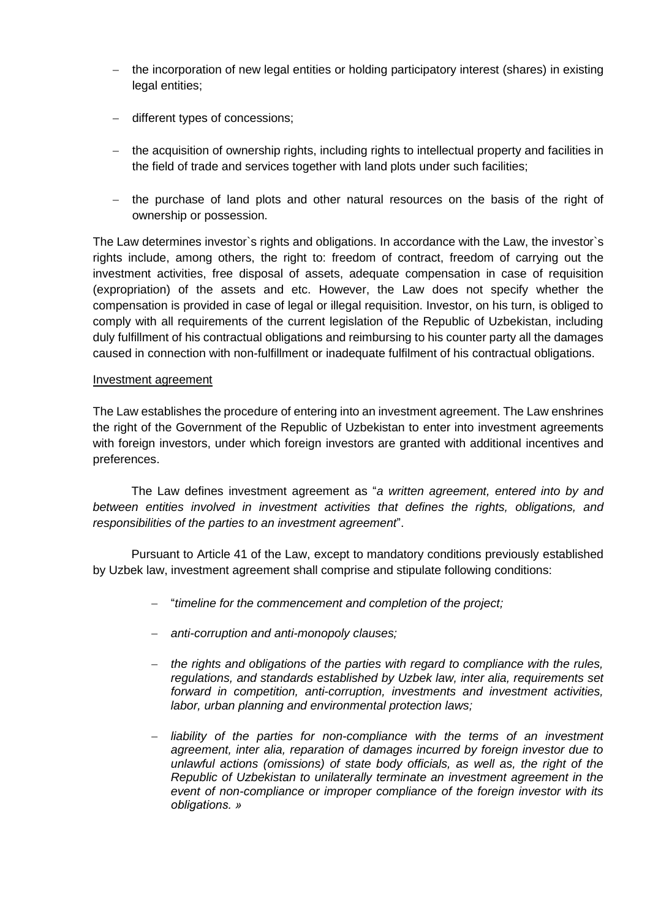- − the incorporation of new legal entities or holding participatory interest (shares) in existing legal entities;
- − different types of concessions;
- − the acquisition of ownership rights, including rights to intellectual property and facilities in the field of trade and services together with land plots under such facilities;
- − the purchase of land plots and other natural resources on the basis of the right of ownership or possession.

The Law determines investor`s rights and obligations. In accordance with the Law, the investor`s rights include, among others, the right to: freedom of contract, freedom of carrying out the investment activities, free disposal of assets, adequate compensation in case of requisition (expropriation) of the assets and etc. However, the Law does not specify whether the compensation is provided in case of legal or illegal requisition. Investor, on his turn, is obliged to comply with all requirements of the current legislation of the Republic of Uzbekistan, including duly fulfillment of his contractual obligations and reimbursing to his counter party all the damages caused in connection with non-fulfillment or inadequate fulfilment of his contractual obligations.

#### Investment agreement

The Law establishes the procedure of entering into an investment agreement. The Law enshrines the right of the Government of the Republic of Uzbekistan to enter into investment agreements with foreign investors, under which foreign investors are granted with additional incentives and preferences.

The Law defines investment agreement as "*a written agreement, entered into by and between entities involved in investment activities that defines the rights, obligations, and responsibilities of the parties to an investment agreement*".

Pursuant to Article 41 of the Law, except to mandatory conditions previously established by Uzbek law, investment agreement shall comprise and stipulate following conditions:

- − "*timeline for the commencement and completion of the project;*
- − *anti-corruption and anti-monopoly clauses;*
- − *the rights and obligations of the parties with regard to compliance with the rules, regulations, and standards established by Uzbek law, inter alia, requirements set forward in competition, anti-corruption, investments and investment activities, labor, urban planning and environmental protection laws;*
- − *liability of the parties for non-compliance with the terms of an investment agreement, inter alia, reparation of damages incurred by foreign investor due to unlawful actions (omissions) of state body officials, as well as, the right of the Republic of Uzbekistan to unilaterally terminate an investment agreement in the event of non-compliance or improper compliance of the foreign investor with its obligations. »*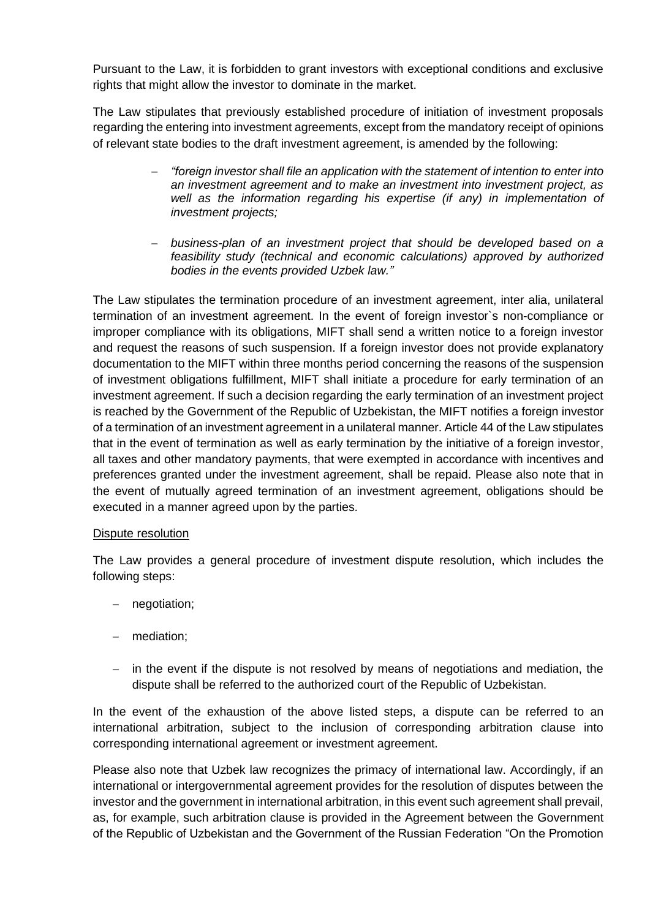Pursuant to the Law, it is forbidden to grant investors with exceptional conditions and exclusive rights that might allow the investor to dominate in the market.

The Law stipulates that previously established procedure of initiation of investment proposals regarding the entering into investment agreements, except from the mandatory receipt of opinions of relevant state bodies to the draft investment agreement, is amended by the following:

- − *"foreign investor shall file an application with the statement of intention to enter into an investment agreement and to make an investment into investment project, as*  well as the information regarding his expertise (if any) in implementation of *investment projects;*
- − *business-plan of an investment project that should be developed based on a feasibility study (technical and economic calculations) approved by authorized bodies in the events provided Uzbek law."*

The Law stipulates the termination procedure of an investment agreement, inter alia, unilateral termination of an investment agreement. In the event of foreign investor`s non-compliance or improper compliance with its obligations, MIFT shall send a written notice to a foreign investor and request the reasons of such suspension. If a foreign investor does not provide explanatory documentation to the MIFT within three months period concerning the reasons of the suspension of investment obligations fulfillment, MIFT shall initiate a procedure for early termination of an investment agreement. If such a decision regarding the early termination of an investment project is reached by the Government of the Republic of Uzbekistan, the MIFT notifies a foreign investor of a termination of an investment agreement in a unilateral manner. Article 44 of the Law stipulates that in the event of termination as well as early termination by the initiative of a foreign investor, all taxes and other mandatory payments, that were exempted in accordance with incentives and preferences granted under the investment agreement, shall be repaid. Please also note that in the event of mutually agreed termination of an investment agreement, obligations should be executed in a manner agreed upon by the parties.

#### Dispute resolution

The Law provides a general procedure of investment dispute resolution, which includes the following steps:

- − negotiation;
- − mediation;
- − in the event if the dispute is not resolved by means of negotiations and mediation, the dispute shall be referred to the authorized court of the Republic of Uzbekistan.

In the event of the exhaustion of the above listed steps, a dispute can be referred to an international arbitration, subject to the inclusion of corresponding arbitration clause into corresponding international agreement or investment agreement.

Please also note that Uzbek law recognizes the primacy of international law. Accordingly, if an international or intergovernmental agreement provides for the resolution of disputes between the investor and the government in international arbitration, in this event such agreement shall prevail, as, for example, such arbitration clause is provided in the Agreement between the Government of the Republic of Uzbekistan and the Government of the Russian Federation "On the Promotion